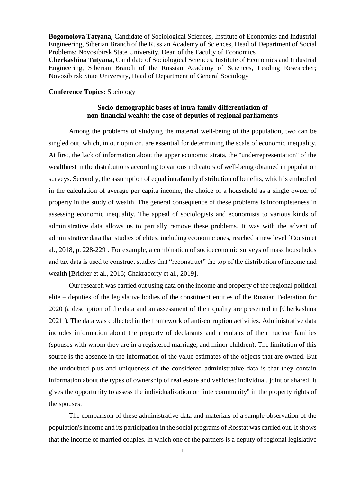**Bogomolova Tatyana,** Candidate of Sociological Sciences, Institute of Economics and Industrial Engineering, Siberian Branch of the Russian Academy of Sciences, Head of Department of Social Problems; Novosibirsk State University, Dean of the Faculty of Economics **Cherkashina Tatyana,** Candidate of Sociological Sciences, Institute of Economics and Industrial Engineering, Siberian Branch of the Russian Academy of Sciences, Leading Researcher; Novosibirsk State University, Head of Department of General Sociology

## **Conference Topics:** Sociology

## **Socio-demographic bases of intra-family differentiation of non-financial wealth: the case of deputies of regional parliaments**

Among the problems of studying the material well-being of the population, two can be singled out, which, in our opinion, are essential for determining the scale of economic inequality. At first, the lack of information about the upper economic strata, the "underrepresentation" of the wealthiest in the distributions according to various indicators of well-being obtained in population surveys. Secondly, the assumption of equal intrafamily distribution of benefits, which is embodied in the calculation of average per capita income, the choice of a household as a single owner of property in the study of wealth. The general consequence of these problems is incompleteness in assessing economic inequality. The appeal of sociologists and economists to various kinds of administrative data allows us to partially remove these problems. It was with the advent of administrative data that studies of elites, including economic ones, reached a new level [Cousin et al., 2018, p. 228-229]. For example, a combination of socioeconomic surveys of mass households and tax data is used to construct studies that "reconstruct" the top of the distribution of income and wealth [Bricker et al., 2016; Chakraborty et al., 2019].

Our research was carried out using data on the income and property of the regional political elite – deputies of the legislative bodies of the constituent entities of the Russian Federation for 2020 (a description of the data and an assessment of their quality are presented in [Cherkashina 2021]). The data was collected in the framework of anti-corruption activities. Administrative data includes information about the property of declarants and members of their nuclear families (spouses with whom they are in a registered marriage, and minor children). The limitation of this source is the absence in the information of the value estimates of the objects that are owned. But the undoubted plus and uniqueness of the considered administrative data is that they contain information about the types of ownership of real estate and vehicles: individual, joint or shared. It gives the opportunity to assess the individualization or "intercommunity" in the property rights of the spouses.

The comparison of these administrative data and materials of a sample observation of the population's income and its participation in the social programs of Rosstat was carried out. Itshows that the income of married couples, in which one of the partners is a deputy of regional legislative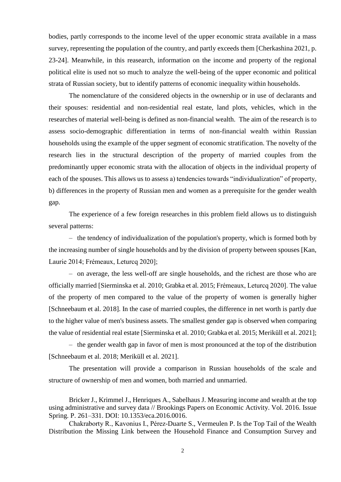bodies, partly corresponds to the income level of the upper economic strata available in a mass survey, representing the population of the country, and partly exceeds them [Cherkashina 2021, p. 23-24]. Meanwhile, in this reasearch, information on the income and property of the regional political elite is used not so much to analyze the well-being of the upper economic and political strata of Russian society, but to identify patterns of economic inequality within households.

The nomenclature of the considered objects in the ownership or in use of declarants and their spouses: residential and non-residential real estate, land plots, vehicles, which in the researches of material well-being is defined as non-financial wealth. The aim of the research is to assess socio-demographic differentiation in terms of non-financial wealth within Russian households using the example of the upper segment of economic stratification. The novelty of the research lies in the structural description of the property of married couples from the predominantly upper economic strata with the allocation of objects in the individual property of each of the spouses. This allows us to assess a) tendencies towards "individualization" of property, b) differences in the property of Russian men and women as a prerequisite for the gender wealth gap.

The experience of a few foreign researches in this problem field allows us to distinguish several patterns:

– the tendency of individualization of the population's property, which is formed both by the increasing number of single households and by the division of property between spouses [Kan, Laurie 2014; Frémeaux, Leturcq 2020];

– on average, the less well-off are single households, and the richest are those who are officially married [Sierminska et al. 2010; Grabka et al. 2015; Frémeaux, Leturcq 2020]. The value of the property of men compared to the value of the property of women is generally higher [Schneebaum et al. 2018]. In the case of married couples, the difference in net worth is partly due to the higher value of men's business assets. The smallest gender gap is observed when comparing the value of residential real estate [Sierminska et al. 2010; Grabka et al. 2015; Meriküll et al. 2021];

– the gender wealth gap in favor of men is most pronounced at the top of the distribution [Schneebaum et al. 2018; Meriküll et al. 2021].

The presentation will provide a comparison in Russian households of the scale and structure of ownership of men and women, both married and unmarried.

Bricker J., Krimmel J., Henriques A., Sabelhaus J. Measuring income and wealth at the top using administrative and survey data // Brookings Papers on Economic Activity. Vol. 2016. Issue Spring. P. 261–331. DOI: 10.1353/eca.2016.0016.

Chakraborty R., Kavonius I., Pérez-Duarte S., Vermeulen P. Is the Top Tail of the Wealth Distribution the Missing Link between the Household Finance and Consumption Survey and